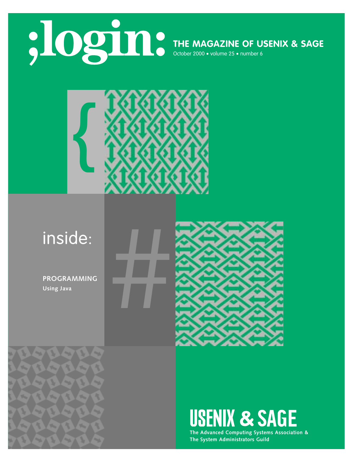

**THE MAGAZINE OF USENIX & SAGE**



# **inside:**<br>PROGRAMMING<br>Using Java<br>And Java

**PROGRAMMING Using Java** 

R

**State** 

A.

 $\overline{\phantom{a}}$ 

 $\mathbf{v}_n$ 

**Ky** 

wÄ ¥





**The Advanced Computing Systems Association & The System Administrators Guild**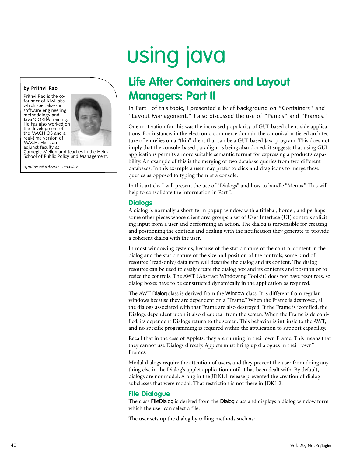### **by Prithvi Rao**

Prithvi Rao is the cofounder of KiwiLabs, which specializes in software engineering methodology and Java/CORBA training. He has also worked on the development of the MACH OS and a real-time version of MACH. He is an



adjunct faculty at Carnegie Mellon and teaches in the Heinz School of Public Policy and Management.

*<prithvi+@ux4.sp.cs.cmu.edu>*

# using java

## **Life After Containers and Layout Managers: Part II**

In Part I of this topic, I presented a brief background on "Containers" and "Layout Management." I also discussed the use of "Panels" and "Frames."

One motivation for this was the increased popularity of GUI-based client-side applications. For instance, in the electronic-commerce domain the canonical n-tiered architecture often relies on a "thin" client that can be a GUI-based Java program. This does not imply that the console-based paradigm is being abandoned; it suggests that using GUI applications permits a more suitable semantic format for expressing a product's capability. An example of this is the merging of two database queries from two different databases. In this example a user may prefer to click and drag icons to merge these queries as opposed to typing them at a console.

In this article, I will present the use of "Dialogs" and how to handle "Menus." This will help to consolidate the information in Part I.

### **Dialogs**

A dialog is normally a short-term popup window with a titlebar, border, and perhaps some other pieces whose client area groups a set of User Interface (UI) controls soliciting input from a user and performing an action. The dialog is responsible for creating and positioning the controls and dealing with the notification they generate to provide a coherent dialog with the user.

In most windowing systems, because of the static nature of the control content in the dialog and the static nature of the size and position of the controls, some kind of resource (read-only) data item will describe the dialog and its content. The dialog resource can be used to easily create the dialog box and its contents and position or to resize the controls. The AWT (Abstract Windowing Toolkit) does not have resources, so dialog boxes have to be constructed dynamically in the application as required.

The AWT Dialog class is derived from the Window class. It is different from regular windows because they are dependent on a "Frame." When the Frame is destroyed, all the dialogs associated with that Frame are also destroyed. If the Frame is iconified, the Dialogs dependent upon it also disappear from the screen. When the Frame is deiconified, its dependent Dialogs return to the screen. This behavior is intrinsic to the AWT, and no specific programming is required within the application to support capability.

Recall that in the case of Applets, they are running in their own Frame. This means that they cannot use Dialogs directly. Applets must bring up dialogues in their "own" Frames.

Modal dialogs require the attention of users, and they prevent the user from doing anything else in the Dialog's applet application until it has been dealt with. By default, dialogs are nonmodal. A bug in the JDK1.1 release prevented the creation of dialog subclasses that were modal. That restriction is not there in JDK1.2.

### **File Dialogue**

The class FileDialog is derived from the Dialog class and displays a dialog window form which the user can select a file.

The user sets up the dialog by calling methods such as: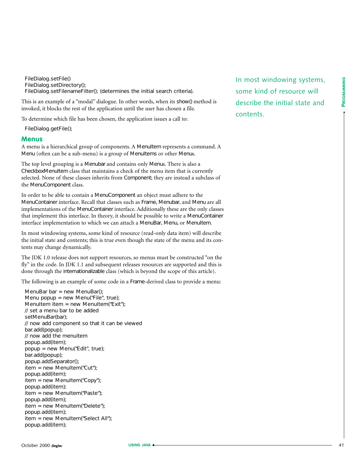FileDialog.setFile() FileDialog.setDirectory(); FileDialog.setFilenameFilter(); (determines the initial search criteria).

This is an example of a "modal" dialogue. In other words, when its show() method is invoked, it blocks the rest of the application until the user has chosen a file.

To determine which file has been chosen, the application issues a call to:

FileDialog.getFile();

### **Menus**

A menu is a hierarchical group of components. A MenuItem represents a command. A Menu (often can be a sub-menu) is a group of MenuItems or other Menus.

The top level grouping is a Menubar and contains only Menus. There is also a CheckboxMenuItem class that maintains a check of the menu item that is currently selected. None of these classes inherits from Component; they are instead a subclass of the MenuComponent class.

In order to be able to contain a MenuComponent an object must adhere to the MenuContainer interface. Recall that classes such as Frame, Menubar, and Menu are all implementations of the MenuContainer interface. Additionally these are the only classes that implement this interface. In theory, it should be possible to write a MenuContainer interface implementation to which we can attach a MenuBar, Menu, or MenuItem.

In most windowing systems, some kind of resource (read-only data item) will describe the initial state and contents; this is true even though the state of the menu and its contents may change dynamically.

The JDK 1.0 release does not support resources, so menus must be constructed "on the fly" in the code. In JDK 1.1 and subsequent releases resources are supported and this is done through the internationalizable class (which is beyond the scope of this article).

The following is an example of some code in a Frame-derived class to provide a menu:

MenuBar bar = new MenuBar(); Menu popup = new Menu("File", true); MenuItem item = new MenuItem("Exit"); // set a menu bar to be added setMenuBar(bar); // now add component so that it can be viewed bar.add(popup); // now add the menuitem popup.add(item); popup = new Menu("Edit", true); bar.add(popup); popup.addSeparator(); item = new MenuItem("Cut"); popup.add(item); item = new MenuItem("Copy"); popup.add(item); item = new MenuItem("Paste"); popup.add(item); item = new MenuItem("Delete"); popup.add(item); item = new MenuItem("Select All"); popup.add(item);

In most windowing systems,<br>
some kind of resource will<br>
describe the initial state and<br>
contents. some kind of resource will describe the initial state and